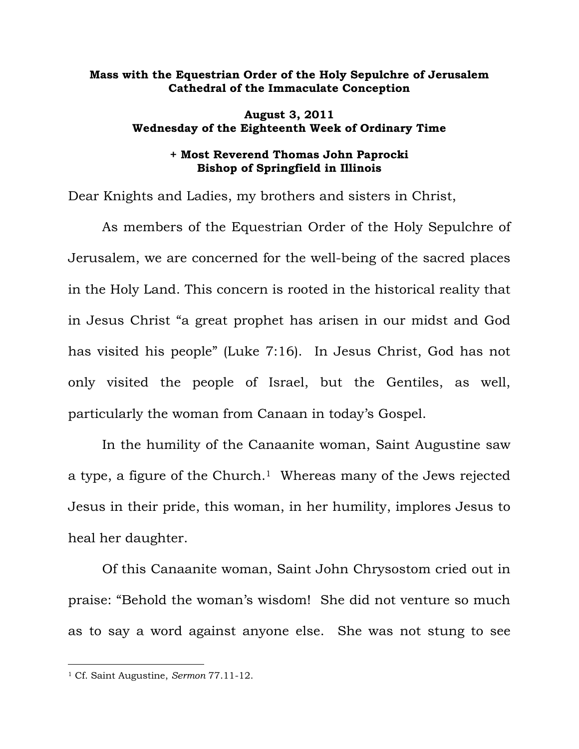## **Mass with the Equestrian Order of the Holy Sepulchre of Jerusalem Cathedral of the Immaculate Conception**

## **August 3, 2011 Wednesday of the Eighteenth Week of Ordinary Time**

## **+ Most Reverend Thomas John Paprocki Bishop of Springfield in Illinois**

Dear Knights and Ladies, my brothers and sisters in Christ,

 As members of the Equestrian Order of the Holy Sepulchre of Jerusalem, we are concerned for the well-being of the sacred places in the Holy Land. This concern is rooted in the historical reality that in Jesus Christ "a great prophet has arisen in our midst and God has visited his people" (Luke 7:16). In Jesus Christ, God has not only visited the people of Israel, but the Gentiles, as well, particularly the woman from Canaan in today's Gospel.

 In the humility of the Canaanite woman, Saint Augustine saw a type, a figure of the Church.<sup>1</sup> Whereas many of the Jews rejected Jesus in their pride, this woman, in her humility, implores Jesus to heal her daughter.

 Of this Canaanite woman, Saint John Chrysostom cried out in praise: "Behold the woman's wisdom! She did not venture so much as to say a word against anyone else. She was not stung to see

 $\overline{a}$ 

<sup>1</sup> Cf. Saint Augustine, *Sermon* 77.11-12.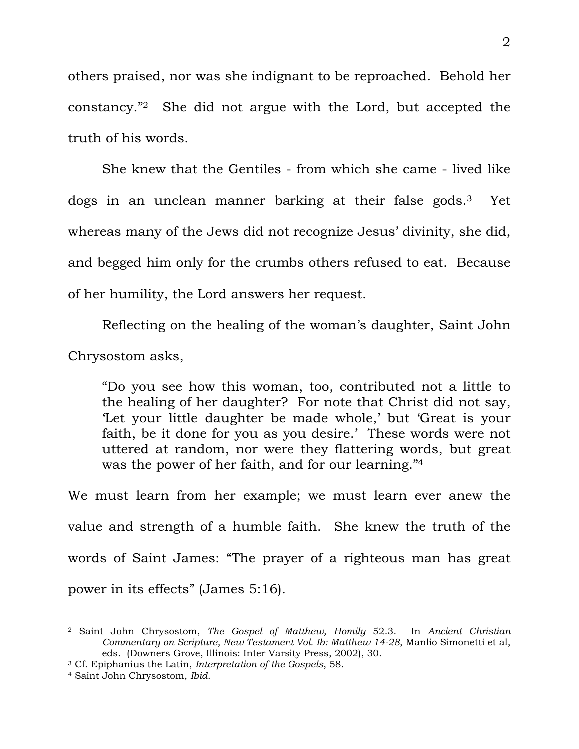others praised, nor was she indignant to be reproached. Behold her constancy."2 She did not argue with the Lord, but accepted the truth of his words.

 She knew that the Gentiles - from which she came - lived like dogs in an unclean manner barking at their false gods.3 Yet whereas many of the Jews did not recognize Jesus' divinity, she did, and begged him only for the crumbs others refused to eat. Because of her humility, the Lord answers her request.

 Reflecting on the healing of the woman's daughter, Saint John Chrysostom asks,

"Do you see how this woman, too, contributed not a little to the healing of her daughter? For note that Christ did not say, 'Let your little daughter be made whole,' but 'Great is your faith, be it done for you as you desire.' These words were not uttered at random, nor were they flattering words, but great was the power of her faith, and for our learning."4

We must learn from her example; we must learn ever anew the value and strength of a humble faith. She knew the truth of the words of Saint James: "The prayer of a righteous man has great power in its effects" (James 5:16).

 $\overline{a}$ 

<sup>2</sup> Saint John Chrysostom, *The Gospel of Matthew, Homily* 52.3. In *Ancient Christian Commentary on Scripture, New Testament Vol. Ib: Matthew 14-28*, Manlio Simonetti et al, eds. (Downers Grove, Illinois: Inter Varsity Press, 2002), 30.

<sup>3</sup> Cf. Epiphanius the Latin, *Interpretation of the Gospels*, 58. 4 Saint John Chrysostom, *Ibid*.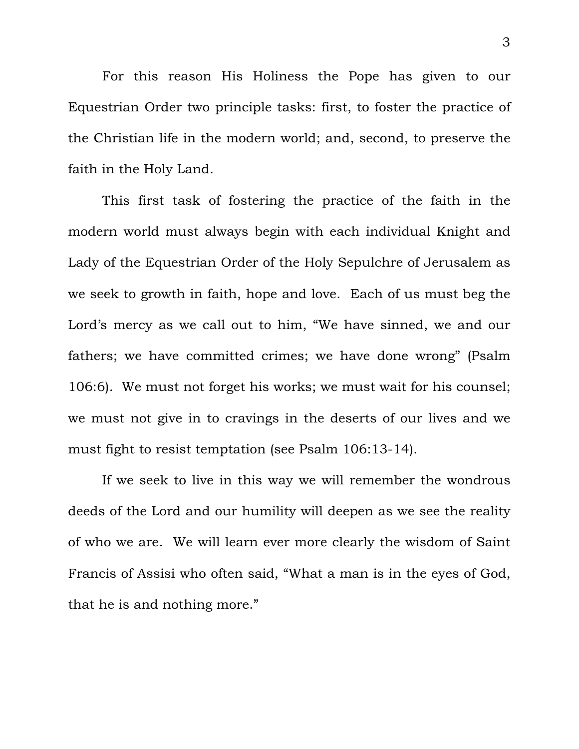For this reason His Holiness the Pope has given to our Equestrian Order two principle tasks: first, to foster the practice of the Christian life in the modern world; and, second, to preserve the faith in the Holy Land.

 This first task of fostering the practice of the faith in the modern world must always begin with each individual Knight and Lady of the Equestrian Order of the Holy Sepulchre of Jerusalem as we seek to growth in faith, hope and love. Each of us must beg the Lord's mercy as we call out to him, "We have sinned, we and our fathers; we have committed crimes; we have done wrong" (Psalm 106:6). We must not forget his works; we must wait for his counsel; we must not give in to cravings in the deserts of our lives and we must fight to resist temptation (see Psalm 106:13-14).

 If we seek to live in this way we will remember the wondrous deeds of the Lord and our humility will deepen as we see the reality of who we are. We will learn ever more clearly the wisdom of Saint Francis of Assisi who often said, "What a man is in the eyes of God, that he is and nothing more."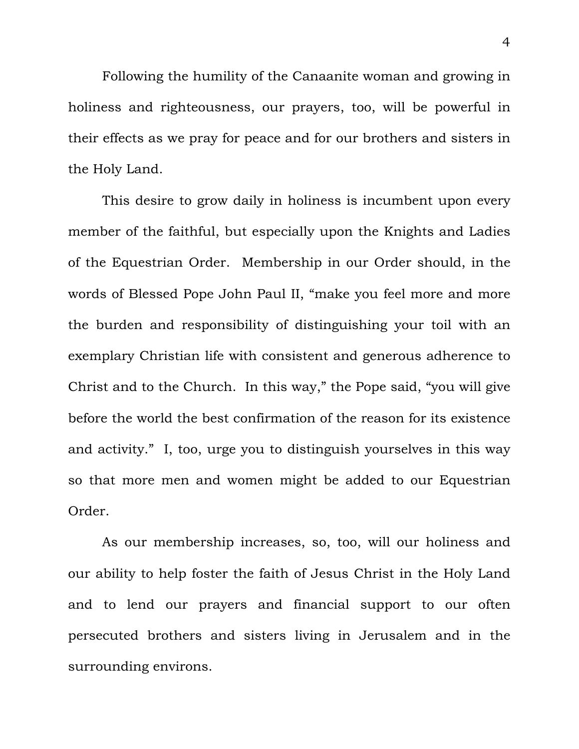Following the humility of the Canaanite woman and growing in holiness and righteousness, our prayers, too, will be powerful in their effects as we pray for peace and for our brothers and sisters in the Holy Land.

 This desire to grow daily in holiness is incumbent upon every member of the faithful, but especially upon the Knights and Ladies of the Equestrian Order. Membership in our Order should, in the words of Blessed Pope John Paul II, "make you feel more and more the burden and responsibility of distinguishing your toil with an exemplary Christian life with consistent and generous adherence to Christ and to the Church. In this way," the Pope said, "you will give before the world the best confirmation of the reason for its existence and activity." I, too, urge you to distinguish yourselves in this way so that more men and women might be added to our Equestrian Order.

 As our membership increases, so, too, will our holiness and our ability to help foster the faith of Jesus Christ in the Holy Land and to lend our prayers and financial support to our often persecuted brothers and sisters living in Jerusalem and in the surrounding environs.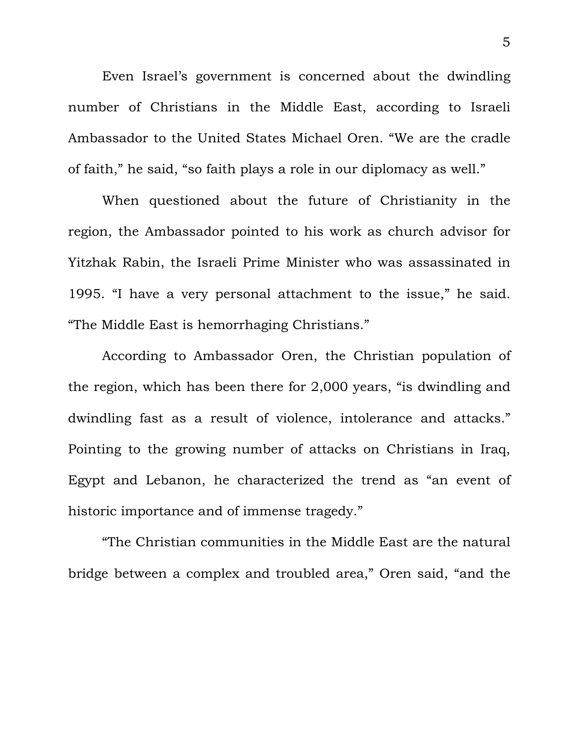Even Israel's government is concerned about the dwindling number of Christians in the Middle East, according to Israeli Ambassador to the United States Michael Oren. "We are the cradle of faith," he said, "so faith plays a role in our diplomacy as well."

When questioned about the future of Christianity in the region, the Ambassador pointed to his work as church advisor for Yitzhak Rabin, the Israeli Prime Minister who was assassinated in 1995. "I have a very personal attachment to the issue," he said. "The Middle East is hemorrhaging Christians."

According to Ambassador Oren, the Christian population of the region, which has been there for 2,000 years, "is dwindling and dwindling fast as a result of violence, intolerance and attacks." Pointing to the growing number of attacks on Christians in Iraq, Egypt and Lebanon, he characterized the trend as "an event of historic importance and of immense tragedy."

"The Christian communities in the Middle East are the natural bridge between a complex and troubled area," Oren said, "and the